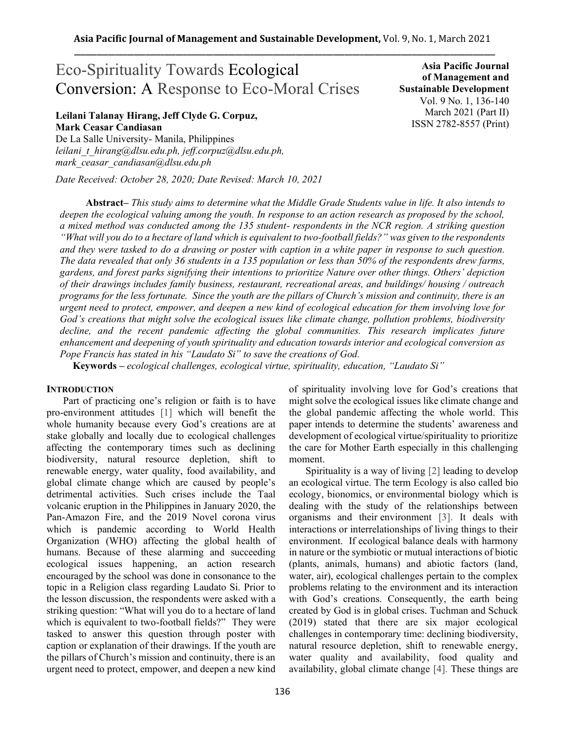# Eco-Spirituality Towards Ecological Conversion: A Response to Eco-Moral Crises

# **Leilani Talanay Hirang, Jeff Clyde G. Corpuz, Mark Ceasar Candiasan**

De La Salle University- Manila, Philippines *leilani\_t\_hirang@dlsu.edu.ph, jeff.corpuz@dlsu.edu.ph, mark\_ceasar\_candiasan@dlsu.edu.ph* 

*Date Received: October 28, 2020; Date Revised: March 10, 2021*

**Asia Pacific Journal of Management and Sustainable Development**  Vol. 9 No. 1, 136-140 March 2021 (Part II) ISSN 2782-8557 (Print)

**Abstract***– This study aims to determine what the Middle Grade Students value in life. It also intends to deepen the ecological valuing among the youth. In response to an action research as proposed by the school, a mixed method was conducted among the 135 student- respondents in the NCR region. A striking question "What will you do to a hectare of land which is equivalent to two-football fields?" was given to the respondents and they were tasked to do a drawing or poster with caption in a white paper in response to such question. The data revealed that only 36 students in a 135 population or less than 50% of the respondents drew farms, gardens, and forest parks signifying their intentions to prioritize Nature over other things. Others' depiction of their drawings includes family business, restaurant, recreational areas, and buildings/ housing / outreach programs for the less fortunate. Since the youth are the pillars of Church's mission and continuity, there is an urgent need to protect, empower, and deepen a new kind of ecological education for them involving love for God's creations that might solve the ecological issues like climate change, pollution problems, biodiversity decline, and the recent pandemic affecting the global communities. This research implicates future enhancement and deepening of youth spirituality and education towards interior and ecological conversion as Pope Francis has stated in his "Laudato Si" to save the creations of God.*

**Keywords** *– ecological challenges, ecological virtue, spirituality, education, "Laudato Si"*

# **INTRODUCTION**

Part of practicing one's religion or faith is to have pro-environment attitudes [1] which will benefit the whole humanity because every God's creations are at stake globally and locally due to ecological challenges affecting the contemporary times such as declining biodiversity, natural resource depletion, shift to renewable energy, water quality, food availability, and global climate change which are caused by people's detrimental activities. Such crises include the Taal volcanic eruption in the Philippines in January 2020, the Pan-Amazon Fire, and the 2019 Novel corona virus which is pandemic according to World Health Organization (WHO) affecting the global health of humans. Because of these alarming and succeeding ecological issues happening, an action research encouraged by the school was done in consonance to the topic in a Religion class regarding Laudato Si. Prior to the lesson discussion, the respondents were asked with a striking question: "What will you do to a hectare of land which is equivalent to two-football fields?" They were tasked to answer this question through poster with caption or explanation of their drawings. If the youth are the pillars of Church's mission and continuity, there is an urgent need to protect, empower, and deepen a new kind

of spirituality involving love for God's creations that might solve the ecological issues like climate change and the global pandemic affecting the whole world. This paper intends to determine the students' awareness and development of ecological virtue/spirituality to prioritize the care for Mother Earth especially in this challenging moment.

Spirituality is a way of living [2] leading to develop an ecological virtue. The term Ecology is also called bio ecology, bionomics, or environmental biology which is dealing with the study of the relationships between organisms and their [environment](https://www.merriam-webster.com/dictionary/environment) [3]. It deals with interactions or interrelationships of living things to their environment. If ecological balance deals with harmony in nature or the symbiotic or mutual interactions of biotic (plants, animals, humans) and abiotic factors (land, water, air), ecological challenges pertain to the complex problems relating to the environment and its interaction with God's creations. Consequently, the earth being created by God is in global crises. Tuchman and Schuck (2019) stated that there are six major ecological challenges in contemporary time: declining biodiversity, natural resource depletion, shift to renewable energy, water quality and availability, food quality and availability, global climate change [4]. These things are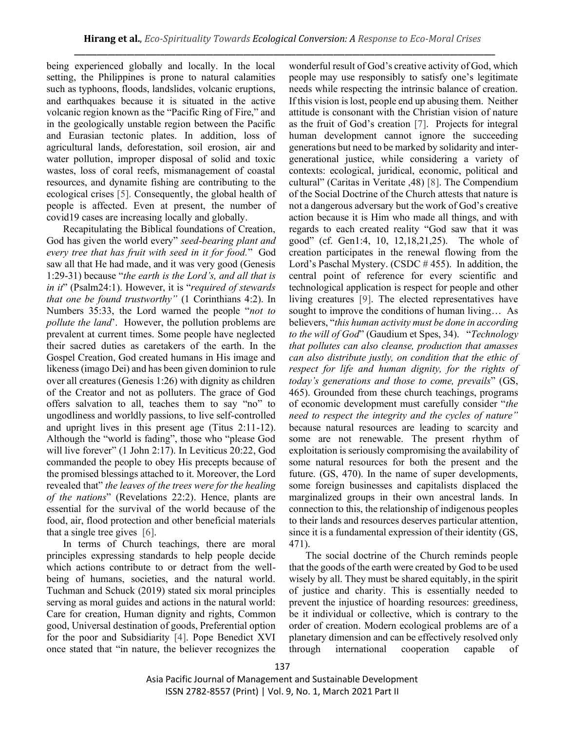being experienced globally and locally. In the local setting, the Philippines is prone to natural calamities such as typhoons, floods, landslides, volcanic eruptions, and earthquakes because it is situated in the active volcanic region known as the "Pacific Ring of Fire," and in the geologically unstable region between the Pacific and Eurasian tectonic plates. In addition, loss of agricultural lands, deforestation, soil erosion, air and water pollution, improper disposal of solid and toxic wastes, loss of coral reefs, mismanagement of coastal resources, and dynamite fishing are contributing to the ecological crises [5]. Consequently, the global health of people is affected. Even at present, the number of covid19 cases are increasing locally and globally.

Recapitulating the Biblical foundations of Creation, God has given the world every" *seed-bearing plant and every tree that has fruit with seed in it for food.*" God saw all that He had made, and it was very good (Genesis 1:29-31) because "*the earth is the Lord's, and all that is in it*" (Psalm24:1). However, it is "*required of stewards that one be found trustworthy"* (1 Corinthians 4:2). In Numbers 35:33, the Lord warned the people "*not to pollute the land*'. However, the pollution problems are prevalent at current times. Some people have neglected their sacred duties as caretakers of the earth. In the Gospel Creation, God created humans in His image and likeness (imago Dei) and has been given dominion to rule over all creatures (Genesis 1:26) with dignity as children of the Creator and not as polluters. The grace of God offers salvation to all, teaches them to say "no" to ungodliness and worldly passions, to live self-controlled and upright lives in this present age (Titus 2:11-12). Although the "world is fading", those who "please God will live forever" (1 John 2:17). In Leviticus 20:22, God commanded the people to obey His precepts because of the promised blessings attached to it. Moreover, the Lord revealed that" *the leaves of the trees were for the healing of the nations*" (Revelations 22:2). Hence, plants are essential for the survival of the world because of the food, air, flood protection and other beneficial materials that a single tree gives [6].

In terms of Church teachings, there are moral principles expressing standards to help people decide which actions contribute to or detract from the wellbeing of humans, societies, and the natural world. Tuchman and Schuck (2019) stated six moral principles serving as moral guides and actions in the natural world: Care for creation, Human dignity and rights, Common good, Universal destination of goods, Preferential option for the poor and Subsidiarity [4]. Pope Benedict XVI once stated that "in nature, the believer recognizes the wonderful result of God's creative activity of God, which people may use responsibly to satisfy one's legitimate needs while respecting the intrinsic balance of creation. If this vision is lost, people end up abusing them. Neither attitude is consonant with the Christian vision of nature as the fruit of God's creation [7]. Projects for integral human development cannot ignore the succeeding generations but need to be marked by solidarity and intergenerational justice, while considering a variety of contexts: ecological, juridical, economic, political and cultural" (Caritas in Veritate ,48) [8]. The Compendium of the Social Doctrine of the Church attests that nature is not a dangerous adversary but the work of God's creative action because it is Him who made all things, and with regards to each created reality "God saw that it was good" (cf. Gen1:4, 10, 12,18,21,25). The whole of creation participates in the renewal flowing from the Lord's Paschal Mystery. (CSDC # 455). In addition, the central point of reference for every scientific and technological application is respect for people and other living creatures [9]. The elected representatives have sought to improve the conditions of human living… As believers, "*this human activity must be done in according to the will of God*" (Gaudium et Spes, 34). "*Technology that pollutes can also cleanse, production that amasses can also distribute justly, on condition that the ethic of respect for life and human dignity, for the rights of today's generations and those to come, prevails*" (GS, 465). Grounded from these church teachings, programs of economic development must carefully consider "*the need to respect the integrity and the cycles of nature"* because natural resources are leading to scarcity and some are not renewable. The present rhythm of exploitation is seriously compromising the availability of some natural resources for both the present and the future. (GS, 470). In the name of super developments, some foreign businesses and capitalists displaced the marginalized groups in their own ancestral lands. In connection to this, the relationship of indigenous peoples to their lands and resources deserves particular attention, since it is a fundamental expression of their identity (GS, 471).

The social doctrine of the Church reminds people that the goods of the earth were created by God to be used wisely by all. They must be shared equitably, in the spirit of justice and charity. This is essentially needed to prevent the injustice of hoarding resources: greediness, be it individual or collective, which is contrary to the order of creation. Modern ecological problems are of a planetary dimension and can be effectively resolved only through international cooperation capable of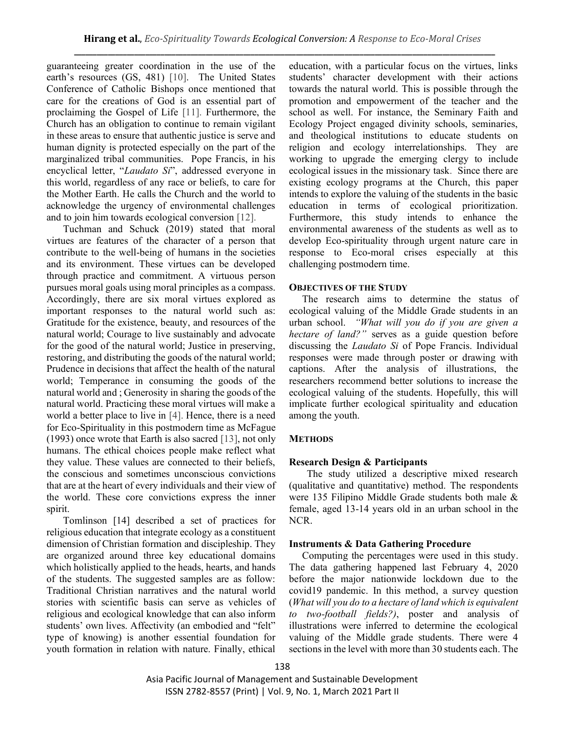guaranteeing greater coordination in the use of the earth's resources (GS, 481) [10]. The United States Conference of Catholic Bishops once mentioned that care for the creations of God is an essential part of proclaiming the Gospel of Life [11]. Furthermore, the Church has an obligation to continue to remain vigilant in these areas to ensure that authentic justice is serve and human dignity is protected especially on the part of the marginalized tribal communities. Pope Francis, in his encyclical letter, "*Laudato Si*", addressed everyone in this world, regardless of any race or beliefs, to care for the Mother Earth. He calls the Church and the world to acknowledge the urgency of environmental challenges and to join him towards ecological conversion [12].

Tuchman and Schuck (2019) stated that moral virtues are features of the character of a person that contribute to the well-being of humans in the societies and its environment. These virtues can be developed through practice and commitment. A virtuous person pursues moral goals using moral principles as a compass. Accordingly, there are six moral virtues explored as important responses to the natural world such as: Gratitude for the existence, beauty, and resources of the natural world; Courage to live sustainably and advocate for the good of the natural world; Justice in preserving, restoring, and distributing the goods of the natural world; Prudence in decisions that affect the health of the natural world; Temperance in consuming the goods of the natural world and ; Generosity in sharing the goods of the natural world. Practicing these moral virtues will make a world a better place to live in [4]. Hence, there is a need for Eco-Spirituality in this postmodern time as McFague (1993) once wrote that Earth is also sacred [13], not only humans. The ethical choices people make reflect what they value. These values are connected to their beliefs, the conscious and sometimes unconscious convictions that are at the heart of every individuals and their view of the world. These core convictions express the inner spirit.

Tomlinson [14] described a set of practices for religious education that integrate ecology as a constituent dimension of Christian formation and discipleship. They are organized around three key educational domains which holistically applied to the heads, hearts, and hands of the students. The suggested samples are as follow: Traditional Christian narratives and the natural world stories with scientific basis can serve as vehicles of religious and ecological knowledge that can also inform students' own lives. Affectivity (an embodied and "felt" type of knowing) is another essential foundation for youth formation in relation with nature. Finally, ethical education, with a particular focus on the virtues, links students' character development with their actions towards the natural world. This is possible through the promotion and empowerment of the teacher and the school as well. For instance, the Seminary Faith and Ecology Project engaged divinity schools, seminaries, and theological institutions to educate students on religion and ecology interrelationships. They are working to upgrade the emerging clergy to include ecological issues in the missionary task. Since there are existing ecology programs at the Church, this paper intends to explore the valuing of the students in the basic education in terms of ecological prioritization. Furthermore, this study intends to enhance the environmental awareness of the students as well as to develop Eco-spirituality through urgent nature care in response to Eco-moral crises especially at this challenging postmodern time.

## **OBJECTIVES OF THE STUDY**

The research aims to determine the status of ecological valuing of the Middle Grade students in an urban school. *"What will you do if you are given a hectare of land?"* serves as a guide question before discussing the *Laudato Si* of Pope Francis. Individual responses were made through poster or drawing with captions. After the analysis of illustrations, the researchers recommend better solutions to increase the ecological valuing of the students. Hopefully, this will implicate further ecological spirituality and education among the youth.

## **METHODS**

## **Research Design & Participants**

 The study utilized a descriptive mixed research (qualitative and quantitative) method. The respondents were 135 Filipino Middle Grade students both male & female, aged 13-14 years old in an urban school in the NCR.

## **Instruments & Data Gathering Procedure**

Computing the percentages were used in this study. The data gathering happened last February 4, 2020 before the major nationwide lockdown due to the covid19 pandemic. In this method, a survey question (*What will you do to a hectare of land which is equivalent to two-football fields?)*, poster and analysis of illustrations were inferred to determine the ecological valuing of the Middle grade students. There were 4 sections in the level with more than 30 students each. The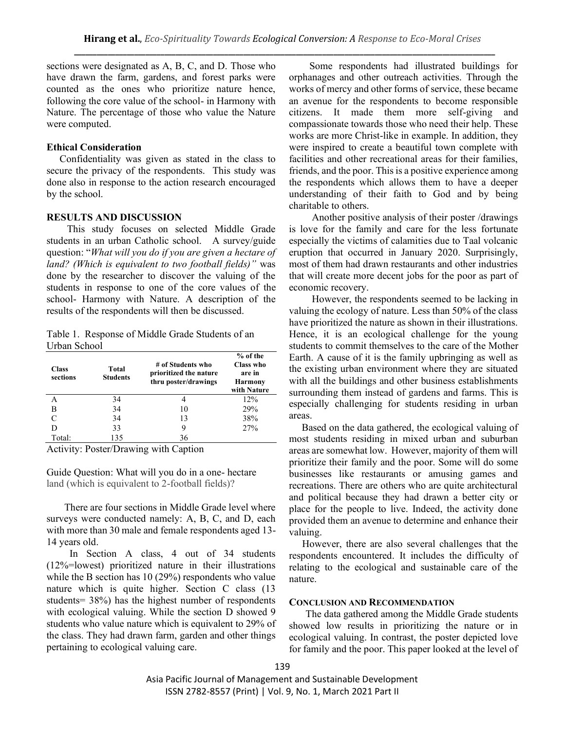sections were designated as A, B, C, and D. Those who have drawn the farm, gardens, and forest parks were counted as the ones who prioritize nature hence, following the core value of the school- in Harmony with Nature. The percentage of those who value the Nature were computed.

# **Ethical Consideration**

Confidentiality was given as stated in the class to secure the privacy of the respondents. This study was done also in response to the action research encouraged by the school.

## **RESULTS AND DISCUSSION**

 This study focuses on selected Middle Grade students in an urban Catholic school. A survey/guide question: "*What will you do if you are given a hectare of land? (Which is equivalent to two football fields)"* was done by the researcher to discover the valuing of the students in response to one of the core values of the school- Harmony with Nature. A description of the results of the respondents will then be discussed.

Table 1. Response of Middle Grade Students of an Urban School

| <b>Class</b><br>sections | Total<br><b>Students</b> | # of Students who<br>prioritized the nature<br>thru poster/drawings | $%$ of the<br>Class who<br>are in<br><b>Harmony</b><br>with Nature |
|--------------------------|--------------------------|---------------------------------------------------------------------|--------------------------------------------------------------------|
| А                        | 34                       | 4                                                                   | 12%                                                                |
| В                        | 34                       | 10                                                                  | 29%                                                                |
|                          | 34                       | 13                                                                  | 38%                                                                |
| D                        | 33                       | 9                                                                   | 27%                                                                |
| Total:                   | 135                      | 36                                                                  |                                                                    |

Activity: Poster/Drawing with Caption

Guide Question: What will you do in a one- hectare land (which is equivalent to 2-football fields)?

 There are four sections in Middle Grade level where surveys were conducted namely: A, B, C, and D, each with more than 30 male and female respondents aged 13- 14 years old.

 In Section A class, 4 out of 34 students (12%=lowest) prioritized nature in their illustrations while the B section has 10 (29%) respondents who value nature which is quite higher. Section C class (13 students= 38%) has the highest number of respondents with ecological valuing. While the section D showed 9 students who value nature which is equivalent to 29% of the class. They had drawn farm, garden and other things pertaining to ecological valuing care.

 Some respondents had illustrated buildings for orphanages and other outreach activities. Through the works of mercy and other forms of service, these became an avenue for the respondents to become responsible citizens. It made them more self-giving and compassionate towards those who need their help. These works are more Christ-like in example. In addition, they were inspired to create a beautiful town complete with facilities and other recreational areas for their families, friends, and the poor. This is a positive experience among the respondents which allows them to have a deeper understanding of their faith to God and by being charitable to others.

 Another positive analysis of their poster /drawings is love for the family and care for the less fortunate especially the victims of calamities due to Taal volcanic eruption that occurred in January 2020. Surprisingly, most of them had drawn restaurants and other industries that will create more decent jobs for the poor as part of economic recovery.

 However, the respondents seemed to be lacking in valuing the ecology of nature. Less than 50% of the class have prioritized the nature as shown in their illustrations. Hence, it is an ecological challenge for the young students to commit themselves to the care of the Mother Earth. A cause of it is the family upbringing as well as the existing urban environment where they are situated with all the buildings and other business establishments surrounding them instead of gardens and farms. This is especially challenging for students residing in urban areas.

 Based on the data gathered, the ecological valuing of most students residing in mixed urban and suburban areas are somewhat low. However, majority of them will prioritize their family and the poor. Some will do some businesses like restaurants or amusing games and recreations. There are others who are quite architectural and political because they had drawn a better city or place for the people to live. Indeed, the activity done provided them an avenue to determine and enhance their valuing.

However, there are also several challenges that the respondents encountered. It includes the difficulty of relating to the ecological and sustainable care of the nature.

## **CONCLUSION AND RECOMMENDATION**

The data gathered among the Middle Grade students showed low results in prioritizing the nature or in ecological valuing. In contrast, the poster depicted love for family and the poor. This paper looked at the level of

Asia Pacific Journal of Management and Sustainable Development ISSN 2782-8557 (Print) | Vol. 9, No. 1, March 2021 Part II